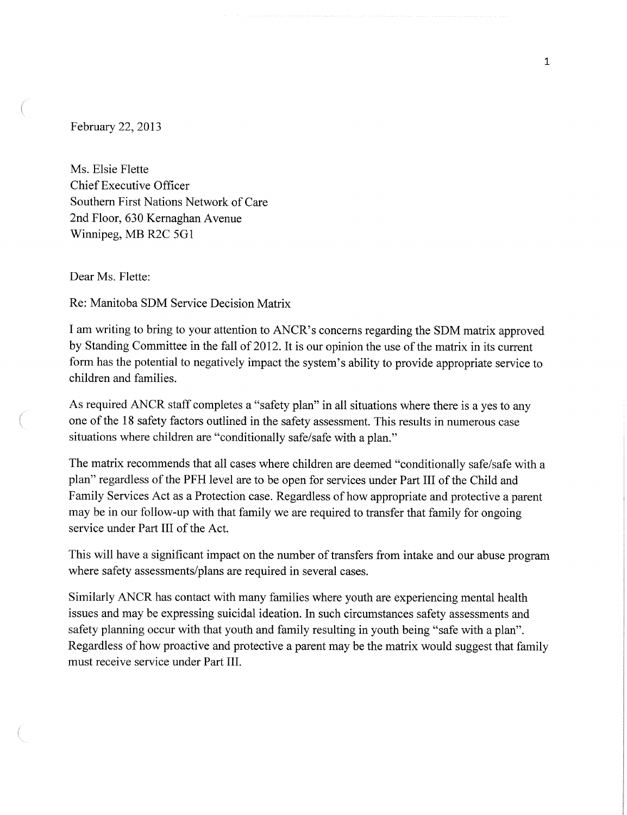February 22, 2013

Ms. Elsie Flette Chief Executive Officer Southern First Nations Network of Care 2nd Floor, 630 Kernaghan Avenue Winnipeg, MB R2C 5G1

Dear Ms. Flette:

Re: Manitoba SDM Service Decision Matrix

I am writing to bring to your attention to ANCR's concerns regarding the SDM matrix approved by Standing Committee in the fall of 2012. It is our opinion the use of the matrix in its current form has the potential to negatively impact the system's ability to provide appropriate service to children and families.

As required ANCR staff completes a "safety plan" in all situations where there is a yes to any one ofthe 18 safety factors outlined in the safety assessment. This results in numerous case situations where children are "conditionally safe/safe with a plan."

The matrix recommends that all cases where children are deemed "conditionally safe/safe with a plan" regardless of the PFH level are to be open for services under Part III of the Child and Family Services Act as a Protection case. Regardless of how appropriate and protective a parent may be in our follow-up with that family we are required to transfer that family for ongoing service under Part III of the Act.

This will have a significant impact on the number of transfers from intake and our abuse program where safety assessments/plans are required in several cases.

Similarly ANCR has contact with many families where youth are experiencing mental health issues and may be expressing suicidal ideation. In such circumstances safety assessments and safety planning occur with that youth and family resulting in youth being "safe with a plan". Regardless of how proactive and protective a parent may be the matrix would suggest that family must receive service under Part III.